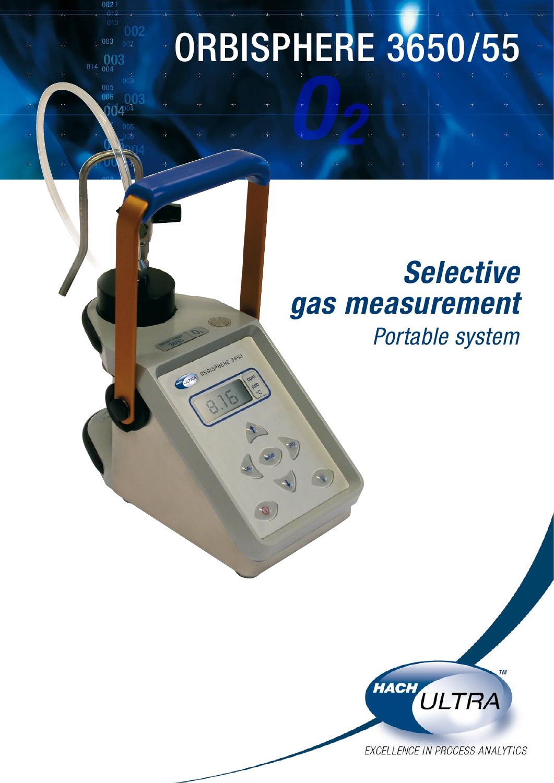# *O2*  ORBISPHERE 3650/55

003 OC.

CLERA ORDISPHERE 3650

### *Selective gas measurement*

*Portable system*



EXCELLENCE IN PROCESS ANALYTICS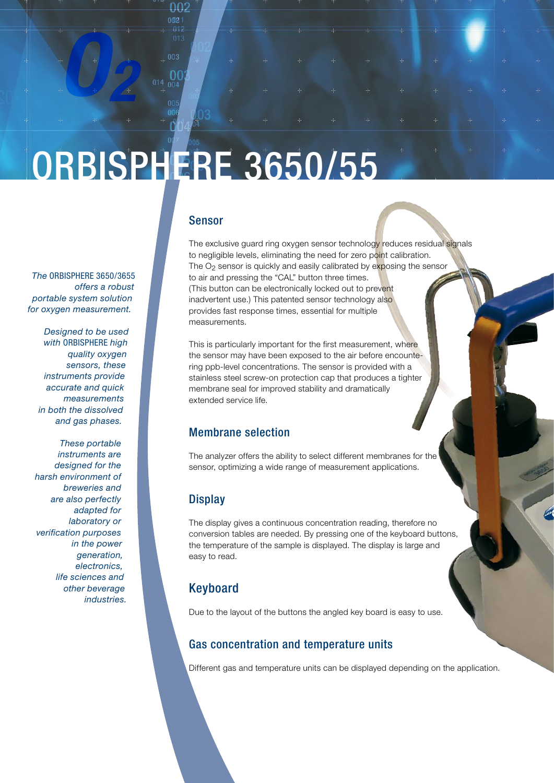## ORBISPHERE 3650/55

 $00<sup>2</sup>$ 

*The* ORBISPHERE 3650/3655 *offers a robust portable system solution* 

*O2* 

*Designed to be used with* ORBISPHERE *high quality oxygen sensors, these instruments provide accurate and quick measurements in both the dissolved and gas phases.*

*for oxygen measurement.* 

*These portable instruments are designed for the harsh environment of breweries and are also perfectly adapted for laboratory or verification purposes in the power generation, electronics, life sciences and other beverage industries.*

#### Sensor

The exclusive guard ring oxygen sensor technology reduces residual signals to negligible levels, eliminating the need for zero point calibration. The  $O<sub>2</sub>$  sensor is quickly and easily calibrated by exposing the sensor to air and pressing the "CAL" button three times. (This button can be electronically locked out to prevent inadvertent use.) This patented sensor technology also provides fast response times, essential for multiple measurements.

This is particularly important for the first measurement, where the sensor may have been exposed to the air before encountering ppb-level concentrations. The sensor is provided with a stainless steel screw-on protection cap that produces a tighter membrane seal for improved stability and dramatically extended service life.

#### Membrane selection

The analyzer offers the ability to select different membranes for the sensor, optimizing a wide range of measurement applications.

#### **Display**

The display gives a continuous concentration reading, therefore no conversion tables are needed. By pressing one of the keyboard buttons, the temperature of the sample is displayed. The display is large and easy to read.

#### Keyboard

Due to the layout of the buttons the angled key board is easy to use.

#### Gas concentration and temperature units

Different gas and temperature units can be displayed depending on the application.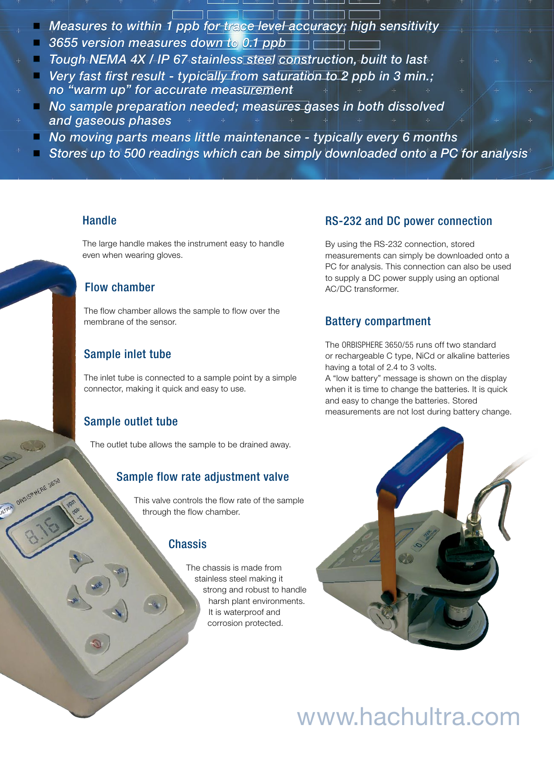- *Measures to within 1 ppb for trace level accuracy; high sensitivity*
- *3655 version measures down to 0.1 ppb*
- *Tough NEMA 4X / IP 67 stainless steel construction, built to last*
- *Very fast first result - typically from saturation to 2 ppb in 3 min.; no "warm up" for accurate measurement*
- *No sample preparation needed; measures gases in both dissolved and gaseous phases*
- *No moving parts means little maintenance - typically every 6 months*
- *Stores up to 500 readings which can be simply downloaded onto a PC for analysis*

#### **Handle**

The large handle makes the instrument easy to handle even when wearing gloves.

#### Flow chamber

The flow chamber allows the sample to flow over the membrane of the sensor.

#### Sample inlet tube

The inlet tube is connected to a sample point by a simple connector, making it quick and easy to use.

#### Sample outlet tube

**ATMA ORBISPHERE 3650** 

The outlet tube allows the sample to be drained away.

#### Sample flow rate adjustment valve

This valve controls the flow rate of the sample through the flow chamber.

#### **Chassis**

The chassis is made from stainless steel making it strong and robust to handle harsh plant environments. It is waterproof and corrosion protected.

#### RS-232 and DC power connection

By using the RS-232 connection, stored measurements can simply be downloaded onto a PC for analysis. This connection can also be used to supply a DC power supply using an optional AC/DC transformer.

#### Battery compartment

The ORBISPHERE 3650/55 runs off two standard or rechargeable C type, NiCd or alkaline batteries having a total of 2.4 to 3 volts.

A "low battery" message is shown on the display when it is time to change the batteries. It is quick and easy to change the batteries. Stored measurements are not lost during battery change.



### www.hachultra.com